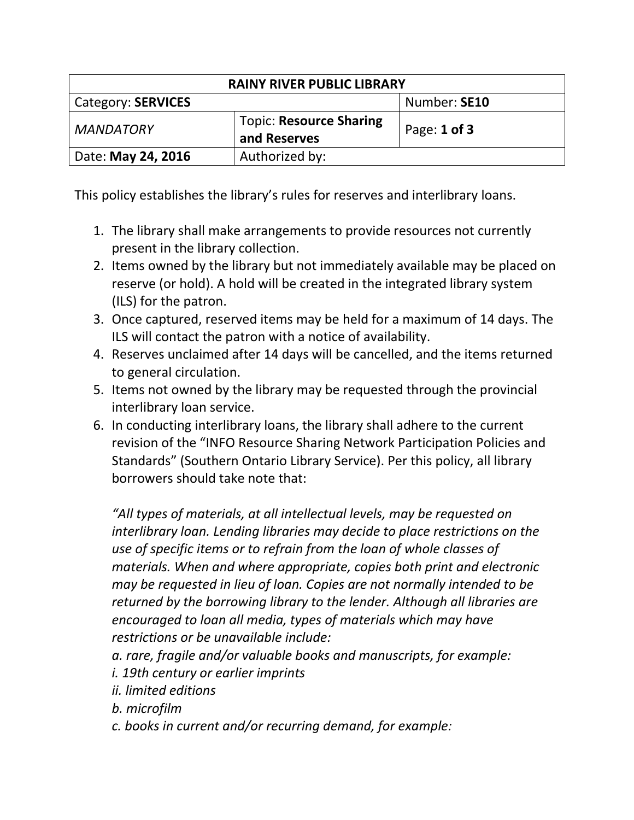| <b>RAINY RIVER PUBLIC LIBRARY</b> |                                                |                  |  |  |
|-----------------------------------|------------------------------------------------|------------------|--|--|
| <b>Category: SERVICES</b>         |                                                | Number: SE10     |  |  |
| <b>MANDATORY</b>                  | <b>Topic: Resource Sharing</b><br>and Reserves | Page: $1$ of $3$ |  |  |
| Date: May 24, 2016                | Authorized by:                                 |                  |  |  |

This policy establishes the library's rules for reserves and interlibrary loans.

- 1. The library shall make arrangements to provide resources not currently present in the library collection.
- 2. Items owned by the library but not immediately available may be placed on reserve (or hold). A hold will be created in the integrated library system (ILS) for the patron.
- 3. Once captured, reserved items may be held for a maximum of 14 days. The ILS will contact the patron with a notice of availability.
- 4. Reserves unclaimed after 14 days will be cancelled, and the items returned to general circulation.
- 5. Items not owned by the library may be requested through the provincial interlibrary loan service.
- 6. In conducting interlibrary loans, the library shall adhere to the current revision of the "INFO Resource Sharing Network Participation Policies and Standards" (Southern Ontario Library Service). Per this policy, all library borrowers should take note that:

*"All types of materials, at all intellectual levels, may be requested on interlibrary loan. Lending libraries may decide to place restrictions on the use of specific items or to refrain from the loan of whole classes of materials. When and where appropriate, copies both print and electronic may be requested in lieu of loan. Copies are not normally intended to be returned by the borrowing library to the lender. Although all libraries are encouraged to loan all media, types of materials which may have restrictions or be unavailable include:*

- *a. rare, fragile and/or valuable books and manuscripts, for example:*
- *i. 19th century or earlier imprints*
- *ii. limited editions*
- *b. microfilm*
- *c. books in current and/or recurring demand, for example:*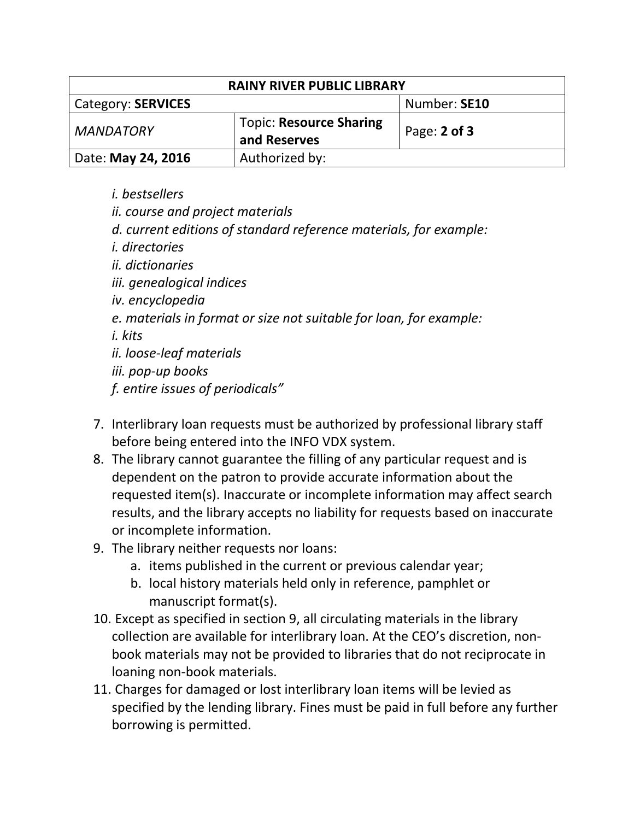| <b>RAINY RIVER PUBLIC LIBRARY</b> |                                                |                  |  |  |
|-----------------------------------|------------------------------------------------|------------------|--|--|
| <b>Category: SERVICES</b>         |                                                | Number: SE10     |  |  |
| <b>MANDATORY</b>                  | <b>Topic: Resource Sharing</b><br>and Reserves | Page: $2$ of $3$ |  |  |
| Date: May 24, 2016                | Authorized by:                                 |                  |  |  |

- *i. bestsellers*
- *ii. course and project materials*
- *d. current editions of standard reference materials, for example:*
- *i. directories*
- *ii. dictionaries*
- *iii. genealogical indices*
- *iv. encyclopedia*
- *e. materials in format or size not suitable for loan, for example:*

*i. kits*

*ii. loose-leaf materials*

*iii. pop-up books*

*f. entire issues of periodicals"*

- 7. Interlibrary loan requests must be authorized by professional library staff before being entered into the INFO VDX system.
- 8. The library cannot guarantee the filling of any particular request and is dependent on the patron to provide accurate information about the requested item(s). Inaccurate or incomplete information may affect search results, and the library accepts no liability for requests based on inaccurate or incomplete information.
- 9. The library neither requests nor loans:
	- a. items published in the current or previous calendar year;
	- b. local history materials held only in reference, pamphlet or manuscript format(s).
- 10. Except as specified in section 9, all circulating materials in the library collection are available for interlibrary loan. At the CEO's discretion, nonbook materials may not be provided to libraries that do not reciprocate in loaning non-book materials.
- 11. Charges for damaged or lost interlibrary loan items will be levied as specified by the lending library. Fines must be paid in full before any further borrowing is permitted.